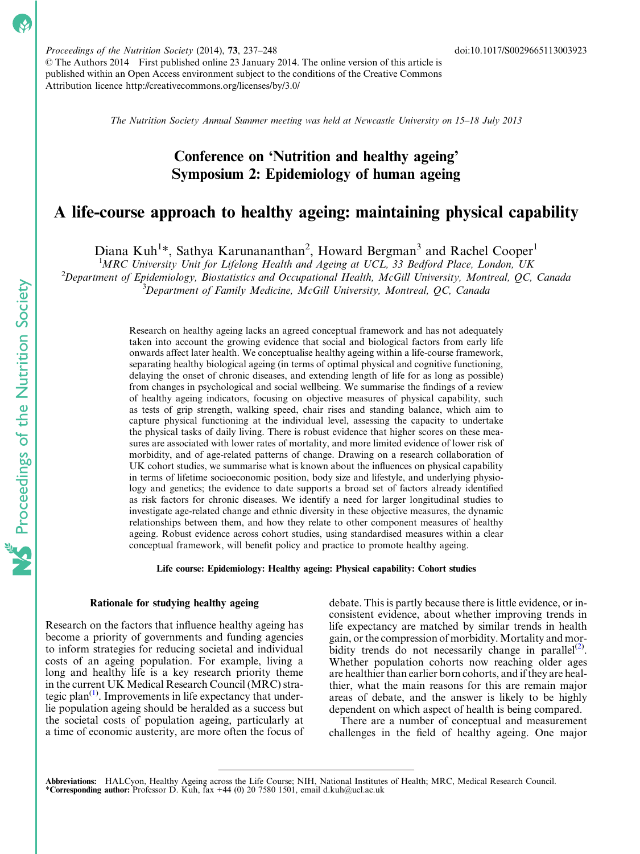© The Authors 2014 First published online 23 January 2014. The online version of this article is published within an Open Access environment subject to the conditions of the Creative Commons Attribution licence http://creativecommons.org/licenses/by/3.0/

The Nutrition Society Annual Summer meeting was held at Newcastle University on 15*–*18 July 2013

# Conference on 'Nutrition and healthy ageing' Symposium 2: Epidemiology of human ageing

# A life-course approach to healthy ageing: maintaining physical capability

Diana Kuh<sup>1\*</sup>, Sathya Karunananthan<sup>2</sup>, Howard Bergman<sup>3</sup> and Rachel Cooper<sup>1</sup>

<sup>1</sup>MRC University Unit for Lifelong Health and Ageing at UCL, 33 Bedford Place, London, UK

<sup>2</sup>Department of Epidemiology, Biostatistics and Occupational Health, McGill University, Montreal, QC, Canada

 ${}^{3}$ Department of Family Medicine, McGill University, Montreal, QC, Canada

Research on healthy ageing lacks an agreed conceptual framework and has not adequately taken into account the growing evidence that social and biological factors from early life onwards affect later health. We conceptualise healthy ageing within a life-course framework, separating healthy biological ageing (in terms of optimal physical and cognitive functioning, delaying the onset of chronic diseases, and extending length of life for as long as possible) from changes in psychological and social wellbeing. We summarise the findings of a review of healthy ageing indicators, focusing on objective measures of physical capability, such as tests of grip strength, walking speed, chair rises and standing balance, which aim to capture physical functioning at the individual level, assessing the capacity to undertake the physical tasks of daily living. There is robust evidence that higher scores on these measures are associated with lower rates of mortality, and more limited evidence of lower risk of morbidity, and of age-related patterns of change. Drawing on a research collaboration of UK cohort studies, we summarise what is known about the influences on physical capability in terms of lifetime socioeconomic position, body size and lifestyle, and underlying physiology and genetics; the evidence to date supports a broad set of factors already identified as risk factors for chronic diseases. We identify a need for larger longitudinal studies to investigate age-related change and ethnic diversity in these objective measures, the dynamic relationships between them, and how they relate to other component measures of healthy ageing. Robust evidence across cohort studies, using standardised measures within a clear conceptual framework, will benefit policy and practice to promote healthy ageing.

#### Life course: Epidemiology: Healthy ageing: Physical capability: Cohort studies

#### Rationale for studying healthy ageing

Research on the factors that influence healthy ageing has become a priority of governments and funding agencies to inform strategies for reducing societal and individual costs of an ageing population. For example, living a long and healthy life is a key research priority theme in the current UK Medical Research Council (MRC) strategic plan $^{(1)}$  $^{(1)}$  $^{(1)}$ . Improvements in life expectancy that underlie population ageing should be heralded as a success but the societal costs of population ageing, particularly at a time of economic austerity, are more often the focus of debate. This is partly because there is little evidence, or inconsistent evidence, about whether improving trends in life expectancy are matched by similar trends in health gain, or the compression of morbidity. Mortality and mor-bidity trends do not necessarily change in parallel<sup>[\(2](#page-8-0))</sup>. Whether population cohorts now reaching older ages are healthier than earlier born cohorts, and if they are healthier, what the main reasons for this are remain major areas of debate, and the answer is likely to be highly dependent on which aspect of health is being compared.

There are a number of conceptual and measurement challenges in the field of healthy ageing. One major

Abbreviations: HALCyon, Healthy Ageing across the Life Course; NIH, National Institutes of Health; MRC, Medical Research Council.<br>\*Corresponding author: Professor D. Kuh, fax +44 (0) 20 7580 1501, email d.kuh@ucl.ac.uk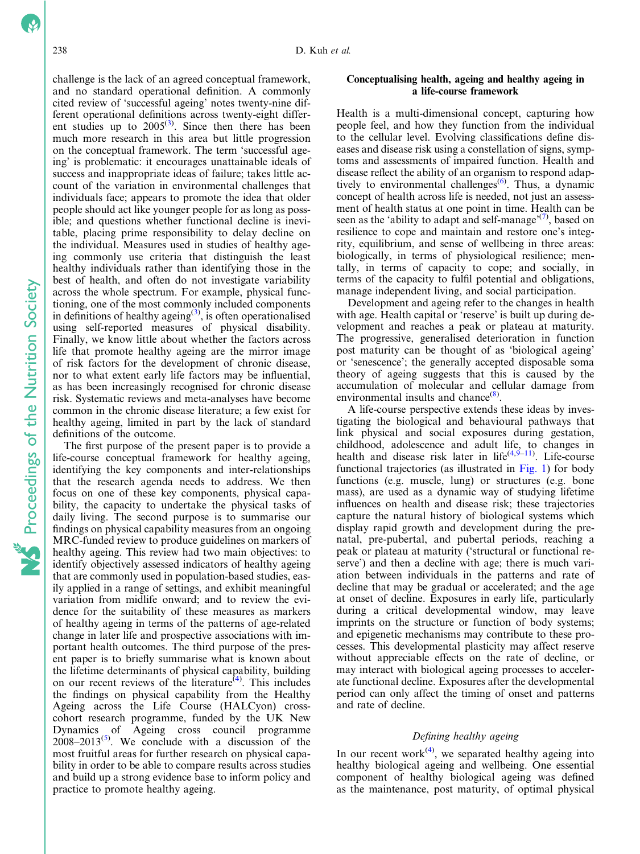challenge is the lack of an agreed conceptual framework, and no standard operational definition. A commonly cited review of 'successful ageing' notes twenty-nine different operational definitions across twenty-eight different studies up to  $2005^{(3)}$  $2005^{(3)}$  $2005^{(3)}$ . Since then there has been much more research in this area but little progression on the conceptual framework. The term 'successful ageing' is problematic: it encourages unattainable ideals of success and inappropriate ideas of failure; takes little account of the variation in environmental challenges that individuals face; appears to promote the idea that older people should act like younger people for as long as possible; and questions whether functional decline is inevitable, placing prime responsibility to delay decline on the individual. Measures used in studies of healthy ageing commonly use criteria that distinguish the least healthy individuals rather than identifying those in the best of health, and often do not investigate variability across the whole spectrum. For example, physical functioning, one of the most commonly included components in definitions of healthy ageing<sup>[\(3](#page-8-0))</sup>, is often operationalised using self-reported measures of physical disability. Finally, we know little about whether the factors across life that promote healthy ageing are the mirror image of risk factors for the development of chronic disease, nor to what extent early life factors may be influential, as has been increasingly recognised for chronic disease risk. Systematic reviews and meta-analyses have become common in the chronic disease literature; a few exist for healthy ageing, limited in part by the lack of standard definitions of the outcome.

The first purpose of the present paper is to provide a life-course conceptual framework for healthy ageing, identifying the key components and inter-relationships that the research agenda needs to address. We then focus on one of these key components, physical capability, the capacity to undertake the physical tasks of daily living. The second purpose is to summarise our findings on physical capability measures from an ongoing MRC-funded review to produce guidelines on markers of healthy ageing. This review had two main objectives: to identify objectively assessed indicators of healthy ageing that are commonly used in population-based studies, easily applied in a range of settings, and exhibit meaningful variation from midlife onward; and to review the evidence for the suitability of these measures as markers of healthy ageing in terms of the patterns of age-related change in later life and prospective associations with important health outcomes. The third purpose of the present paper is to briefly summarise what is known about the lifetime determinants of physical capability, building on our recent reviews of the literature<sup> $(4)$  $(4)$ </sup>. This includes the findings on physical capability from the Healthy Ageing across the Life Course (HALCyon) crosscohort research programme, funded by the UK New Dynamics of Ageing cross council programme  $2008-2013^{(5)}$  $2008-2013^{(5)}$  $2008-2013^{(5)}$ . We conclude with a discussion of the most fruitful areas for further research on physical capability in order to be able to compare results across studies and build up a strong evidence base to inform policy and practice to promote healthy ageing.

## Conceptualising health, ageing and healthy ageing in a life-course framework

Health is a multi-dimensional concept, capturing how people feel, and how they function from the individual to the cellular level. Evolving classifications define diseases and disease risk using a constellation of signs, symptoms and assessments of impaired function. Health and disease reflect the ability of an organism to respond adap-tively to environmental challenges<sup>[\(6\)](#page-8-0)</sup>. Thus, a dynamic concept of health across life is needed, not just an assessment of health status at one point in time. Health can be seen as the 'ability to adapt and self-manage'<sup>[\(7\)](#page-8-0)</sup>, based on resilience to cope and maintain and restore one's integrity, equilibrium, and sense of wellbeing in three areas: biologically, in terms of physiological resilience; mentally, in terms of capacity to cope; and socially, in terms of the capacity to fulfil potential and obligations, manage independent living, and social participation.

Development and ageing refer to the changes in health with age. Health capital or 'reserve' is built up during development and reaches a peak or plateau at maturity. The progressive, generalised deterioration in function post maturity can be thought of as 'biological ageing' or 'senescence'; the generally accepted disposable soma theory of ageing suggests that this is caused by the accumulation of molecular and cellular damage from environmental insults and chance $^{(8)}$  $^{(8)}$  $^{(8)}$ .

A life-course perspective extends these ideas by investigating the biological and behavioural pathways that link physical and social exposures during gestation, childhood, adolescence and adult life, to changes in health and disease risk later in life<sup> $(4,9-11)$  $(4,9-11)$  $(4,9-11)$  $(4,9-11)$ </sup>. Life-course functional trajectories (as illustrated in [Fig. 1\)](#page-2-0) for body functions (e.g. muscle, lung) or structures (e.g. bone mass), are used as a dynamic way of studying lifetime influences on health and disease risk; these trajectories capture the natural history of biological systems which display rapid growth and development during the prenatal, pre-pubertal, and pubertal periods, reaching a peak or plateau at maturity ('structural or functional reserve') and then a decline with age; there is much variation between individuals in the patterns and rate of decline that may be gradual or accelerated; and the age at onset of decline. Exposures in early life, particularly during a critical developmental window, may leave imprints on the structure or function of body systems; and epigenetic mechanisms may contribute to these processes. This developmental plasticity may affect reserve without appreciable effects on the rate of decline, or may interact with biological ageing processes to accelerate functional decline. Exposures after the developmental period can only affect the timing of onset and patterns and rate of decline.

## Defining healthy ageing

In our recent work $^{(4)}$  $^{(4)}$  $^{(4)}$ , we separated healthy ageing into healthy biological ageing and wellbeing. One essential component of healthy biological ageing was defined as the maintenance, post maturity, of optimal physical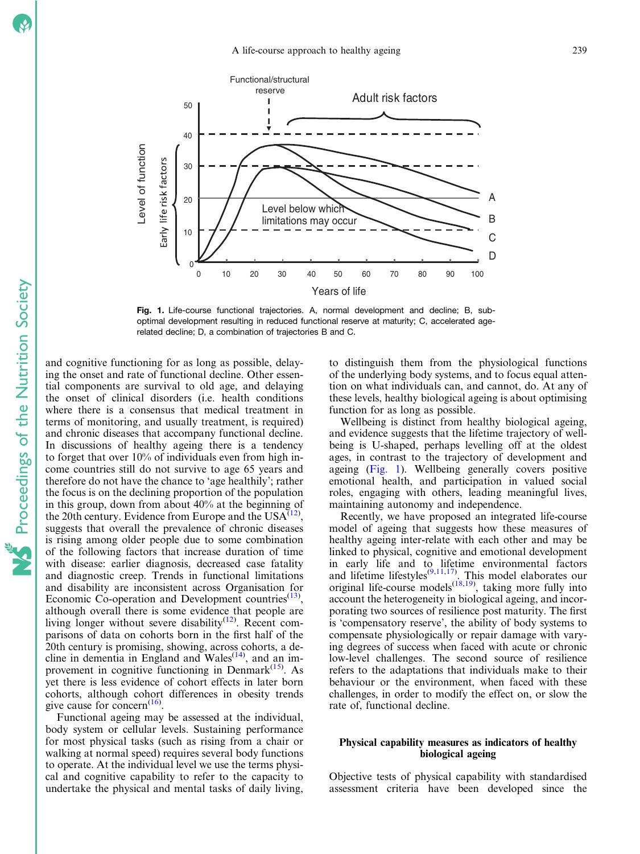<span id="page-2-0"></span>

Fig. 1. Life-course functional trajectories. A, normal development and decline; B, suboptimal development resulting in reduced functional reserve at maturity; C, accelerated agerelated decline; D, a combination of trajectories B and C.

and cognitive functioning for as long as possible, delaying the onset and rate of functional decline. Other essential components are survival to old age, and delaying the onset of clinical disorders (i.e. health conditions where there is a consensus that medical treatment in terms of monitoring, and usually treatment, is required) and chronic diseases that accompany functional decline. In discussions of healthy ageing there is a tendency to forget that over 10% of individuals even from high income countries still do not survive to age 65 years and therefore do not have the chance to 'age healthily'; rather the focus is on the declining proportion of the population in this group, down from about 40% at the beginning of the 20th century. Evidence from Europe and the  $USA^{(12)}$  $USA^{(12)}$  $USA^{(12)}$ , suggests that overall the prevalence of chronic diseases is rising among older people due to some combination of the following factors that increase duration of time with disease: earlier diagnosis, decreased case fatality and diagnostic creep. Trends in functional limitations and disability are inconsistent across Organisation for Economic Co-operation and Development countries $(13)$  $(13)$  $(13)$ , although overall there is some evidence that people are living longer without severe disability<sup>([12](#page-8-0))</sup>. Recent comparisons of data on cohorts born in the first half of the 20th century is promising, showing, across cohorts, a decline in dementia in England and Wales $(14)$ , and an im-provement in cognitive functioning in Denmark<sup>([15](#page-8-0))</sup>. As yet there is less evidence of cohort effects in later born cohorts, although cohort differences in obesity trends give cause for concern<sup>[\(16\)](#page-8-0)</sup>.

Functional ageing may be assessed at the individual, body system or cellular levels. Sustaining performance for most physical tasks (such as rising from a chair or walking at normal speed) requires several body functions to operate. At the individual level we use the terms physical and cognitive capability to refer to the capacity to undertake the physical and mental tasks of daily living, to distinguish them from the physiological functions of the underlying body systems, and to focus equal attention on what individuals can, and cannot, do. At any of these levels, healthy biological ageing is about optimising function for as long as possible.

Wellbeing is distinct from healthy biological ageing, and evidence suggests that the lifetime trajectory of wellbeing is U-shaped, perhaps levelling off at the oldest ages, in contrast to the trajectory of development and ageing (Fig. 1). Wellbeing generally covers positive emotional health, and participation in valued social roles, engaging with others, leading meaningful lives, maintaining autonomy and independence.

Recently, we have proposed an integrated life-course model of ageing that suggests how these measures of healthy ageing inter-relate with each other and may be linked to physical, cognitive and emotional development in early life and to lifetime environmental factors and lifetime lifestyles $(9,11,17)$  $(9,11,17)$ . This model elaborates our original life-course models<sup> $(18,19)$  $(18,19)$ </sup>, taking more fully into account the heterogeneity in biological ageing, and incorporating two sources of resilience post maturity. The first is 'compensatory reserve', the ability of body systems to compensate physiologically or repair damage with varying degrees of success when faced with acute or chronic low-level challenges. The second source of resilience refers to the adaptations that individuals make to their behaviour or the environment, when faced with these challenges, in order to modify the effect on, or slow the rate of, functional decline.

## Physical capability measures as indicators of healthy biological ageing

Objective tests of physical capability with standardised assessment criteria have been developed since the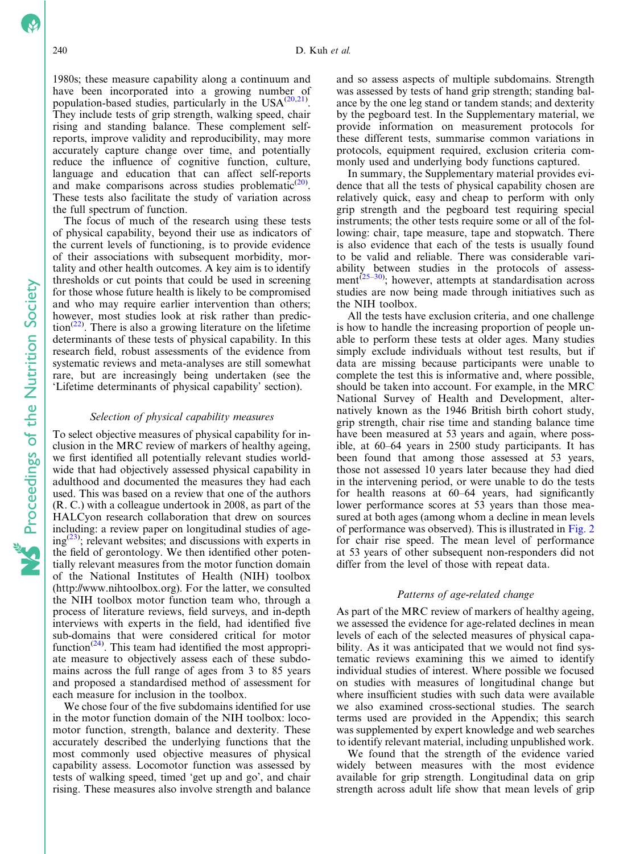1980s; these measure capability along a continuum and have been incorporated into a growing number of population-based studies, particularly in the USA $^{(20,21)}$  $^{(20,21)}$  $^{(20,21)}$ . They include tests of grip strength, walking speed, chair rising and standing balance. These complement selfreports, improve validity and reproducibility, may more accurately capture change over time, and potentially reduce the influence of cognitive function, culture, language and education that can affect self-reports and make comparisons across studies problematic<sup>[\(20\)](#page-8-0)</sup>. These tests also facilitate the study of variation across the full spectrum of function.

The focus of much of the research using these tests of physical capability, beyond their use as indicators of the current levels of functioning, is to provide evidence of their associations with subsequent morbidity, mortality and other health outcomes. A key aim is to identify thresholds or cut points that could be used in screening for those whose future health is likely to be compromised and who may require earlier intervention than others; however, most studies look at risk rather than predic- $\frac{\text{tion}^{(22)}}{\text{There is also a growing literature on the lifetime}}$  $\frac{\text{tion}^{(22)}}{\text{There is also a growing literature on the lifetime}}$  $\frac{\text{tion}^{(22)}}{\text{There is also a growing literature on the lifetime}}$ determinants of these tests of physical capability. In this research field, robust assessments of the evidence from systematic reviews and meta-analyses are still somewhat rare, but are increasingly being undertaken (see the 'Lifetime determinants of physical capability' section).

## Selection of physical capability measures

To select objective measures of physical capability for inclusion in the MRC review of markers of healthy ageing, we first identified all potentially relevant studies worldwide that had objectively assessed physical capability in adulthood and documented the measures they had each used. This was based on a review that one of the authors (R. C.) with a colleague undertook in 2008, as part of the HALCyon research collaboration that drew on sources including: a review paper on longitudinal studies of age-ing<sup>([23](#page-8-0))</sup>; relevant websites; and discussions with experts in the field of gerontology. We then identified other potentially relevant measures from the motor function domain of the National Institutes of Health (NIH) toolbox (http://www.nihtoolbox.org). For the latter, we consulted the NIH toolbox motor function team who, through a process of literature reviews, field surveys, and in-depth interviews with experts in the field, had identified five sub-domains that were considered critical for motor function<sup> $(24)$  $(24)$  $(24)$ </sup>. This team had identified the most appropriate measure to objectively assess each of these subdomains across the full range of ages from 3 to 85 years and proposed a standardised method of assessment for each measure for inclusion in the toolbox.

We chose four of the five subdomains identified for use in the motor function domain of the NIH toolbox: locomotor function, strength, balance and dexterity. These accurately described the underlying functions that the most commonly used objective measures of physical capability assess. Locomotor function was assessed by tests of walking speed, timed 'get up and go', and chair rising. These measures also involve strength and balance

and so assess aspects of multiple subdomains. Strength was assessed by tests of hand grip strength; standing balance by the one leg stand or tandem stands; and dexterity by the pegboard test. In the Supplementary material, we provide information on measurement protocols for these different tests, summarise common variations in protocols, equipment required, exclusion criteria commonly used and underlying body functions captured.

In summary, the Supplementary material provides evidence that all the tests of physical capability chosen are relatively quick, easy and cheap to perform with only grip strength and the pegboard test requiring special instruments; the other tests require some or all of the following: chair, tape measure, tape and stopwatch. There is also evidence that each of the tests is usually found to be valid and reliable. There was considerable variability between studies in the protocols of assess-ment<sup>([25](#page-8-0)–[30\)](#page-8-0)</sup>; however, attempts at standardisation across studies are now being made through initiatives such as the NIH toolbox.

All the tests have exclusion criteria, and one challenge is how to handle the increasing proportion of people unable to perform these tests at older ages. Many studies simply exclude individuals without test results, but if data are missing because participants were unable to complete the test this is informative and, where possible, should be taken into account. For example, in the MRC National Survey of Health and Development, alternatively known as the 1946 British birth cohort study, grip strength, chair rise time and standing balance time have been measured at 53 years and again, where possible, at 60–64 years in 2500 study participants. It has been found that among those assessed at 53 years, those not assessed 10 years later because they had died in the intervening period, or were unable to do the tests for health reasons at 60–64 years, had significantly lower performance scores at 53 years than those measured at both ages (among whom a decline in mean levels of performance was observed). This is illustrated in [Fig. 2](#page-4-0) for chair rise speed. The mean level of performance at 53 years of other subsequent non-responders did not differ from the level of those with repeat data.

## Patterns of age-related change

As part of the MRC review of markers of healthy ageing, we assessed the evidence for age-related declines in mean levels of each of the selected measures of physical capability. As it was anticipated that we would not find systematic reviews examining this we aimed to identify individual studies of interest. Where possible we focused on studies with measures of longitudinal change but where insufficient studies with such data were available we also examined cross-sectional studies. The search terms used are provided in the Appendix; this search was supplemented by expert knowledge and web searches to identify relevant material, including unpublished work.

We found that the strength of the evidence varied widely between measures with the most evidence available for grip strength. Longitudinal data on grip strength across adult life show that mean levels of grip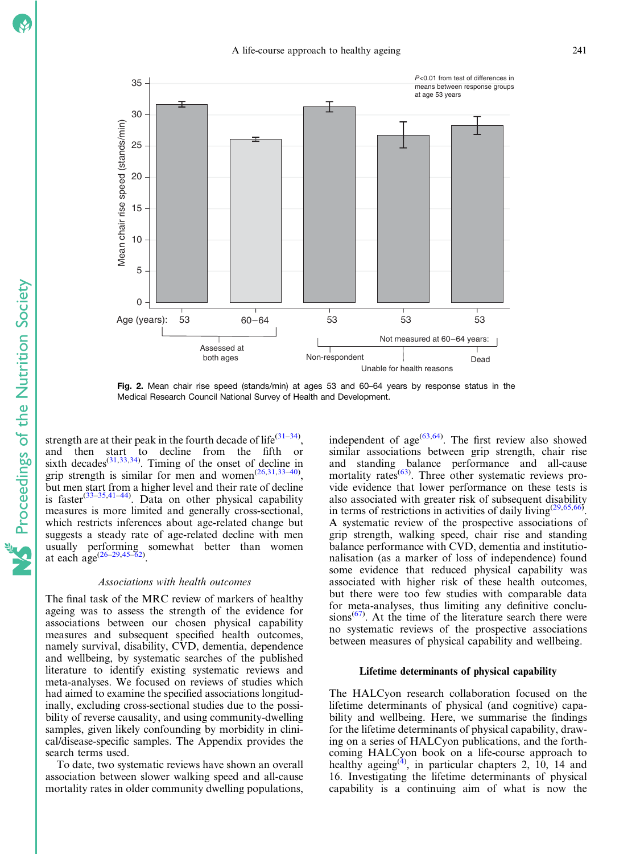<span id="page-4-0"></span>

Fig. 2. Mean chair rise speed (stands/min) at ages 53 and 60–64 years by response status in the Medical Research Council National Survey of Health and Development.

strength are at their peak in the fourth decade of life<sup>[\(31](#page-9-0)-[34](#page-9-0))</sup>, and then start to decline from the fifth or sixth decades<sup>([31,33,34](#page-9-0))</sup>. Timing of the onset of decline in grip strength is similar for men and women<sup> $(26,31,33-40)$  $(26,31,33-40)$  $(26,31,33-40)$  $(26,31,33-40)$  $(26,31,33-40)$ </sup>, but men start from a higher level and their rate of decline is faster<sup>([33](#page-9-0)-[35,41](#page-9-0)-[44](#page-9-0))</sup>. Data on other physical capability measures is more limited and generally cross-sectional, which restricts inferences about age-related change but suggests a steady rate of age-related decline with men usually performing somewhat better than women at each  $age^{(26-29,45-62)}$  $age^{(26-29,45-62)}$  $age^{(26-29,45-62)}$  $age^{(26-29,45-62)}$  $age^{(26-29,45-62)}$  $age^{(26-29,45-62)}$  $age^{(26-29,45-62)}$  $age^{(26-29,45-62)}$ .

## Associations with health outcomes

The final task of the MRC review of markers of healthy ageing was to assess the strength of the evidence for associations between our chosen physical capability measures and subsequent specified health outcomes, namely survival, disability, CVD, dementia, dependence and wellbeing, by systematic searches of the published literature to identify existing systematic reviews and meta-analyses. We focused on reviews of studies which had aimed to examine the specified associations longitudinally, excluding cross-sectional studies due to the possibility of reverse causality, and using community-dwelling samples, given likely confounding by morbidity in clinical/disease-specific samples. The Appendix provides the search terms used.

To date, two systematic reviews have shown an overall association between slower walking speed and all-cause mortality rates in older community dwelling populations,

independent of  $age^{(63,64)}$  $age^{(63,64)}$  $age^{(63,64)}$ . The first review also showed similar associations between grip strength, chair rise and standing balance performance and all-cause mortality rates<sup>[\(63\)](#page-9-0)</sup>. Three other systematic reviews provide evidence that lower performance on these tests is also associated with greater risk of subsequent disability in terms of restrictions in activities of daily living<sup>[\(29](#page-8-0)[,65,66](#page-9-0))</sup>. A systematic review of the prospective associations of grip strength, walking speed, chair rise and standing balance performance with CVD, dementia and institutionalisation (as a marker of loss of independence) found some evidence that reduced physical capability was associated with higher risk of these health outcomes, but there were too few studies with comparable data for meta-analyses, thus limiting any definitive conclu- $sions<sup>(67)</sup>$  $sions<sup>(67)</sup>$  $sions<sup>(67)</sup>$ . At the time of the literature search there were no systematic reviews of the prospective associations between measures of physical capability and wellbeing.

## Lifetime determinants of physical capability

The HALCyon research collaboration focused on the lifetime determinants of physical (and cognitive) capability and wellbeing. Here, we summarise the findings for the lifetime determinants of physical capability, drawing on a series of HALCyon publications, and the forthcoming HALCyon book on a life-course approach to healthy ageing<sup>[\(4\)](#page-8-0)</sup>, in particular chapters 2, 10, 14 and 16. Investigating the lifetime determinants of physical capability is a continuing aim of what is now the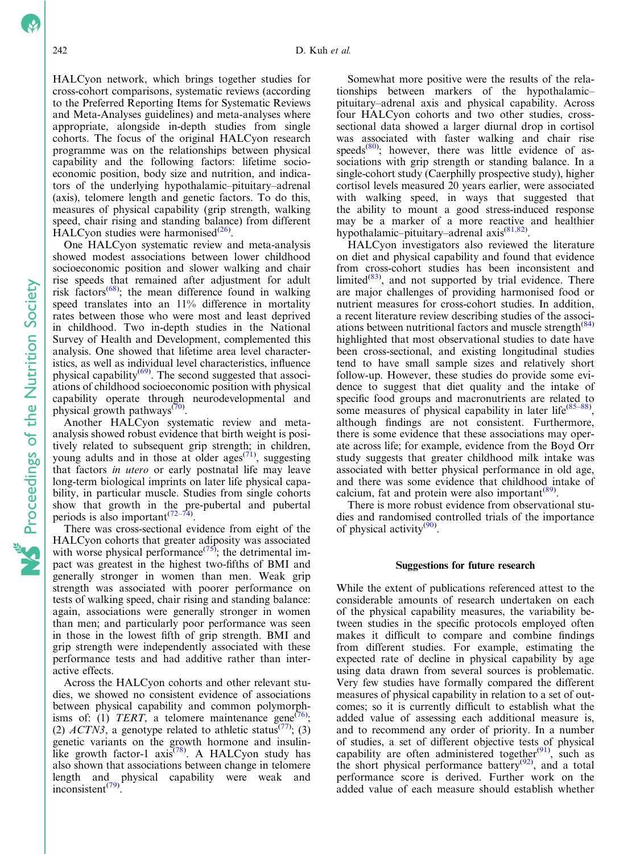HALCyon network, which brings together studies for cross-cohort comparisons, systematic reviews (according to the Preferred Reporting Items for Systematic Reviews and Meta-Analyses guidelines) and meta-analyses where appropriate, alongside in-depth studies from single cohorts. The focus of the original HALCyon research programme was on the relationships between physical capability and the following factors: lifetime socioeconomic position, body size and nutrition, and indicators of the underlying hypothalamic–pituitary–adrenal (axis), telomere length and genetic factors. To do this, measures of physical capability (grip strength, walking speed, chair rising and standing balance) from different  $HALC$ yon studies were harmonised<sup>([26](#page-8-0))</sup>.

One HALCyon systematic review and meta-analysis showed modest associations between lower childhood socioeconomic position and slower walking and chair rise speeds that remained after adjustment for adult risk factors<sup>[\(68\)](#page-9-0)</sup>; the mean difference found in walking speed translates into an 11% difference in mortality rates between those who were most and least deprived in childhood. Two in-depth studies in the National Survey of Health and Development, complemented this analysis. One showed that lifetime area level characteristics, as well as individual level characteristics, influence physical capability<sup>[\(69\)](#page-9-0)</sup>. The second suggested that associations of childhood socioeconomic position with physical capability operate through neurodevelopmental and physical growth pathways<sup> $(70)$  $(70)$  $(70)$ </sup>.

Another HALCyon systematic review and metaanalysis showed robust evidence that birth weight is positively related to subsequent grip strength; in children, young adults and in those at older ages<sup> $(71)$ </sup>, suggesting that factors in utero or early postnatal life may leave long-term biological imprints on later life physical capability, in particular muscle. Studies from single cohorts show that growth in the pre-pubertal and pubertal periods is also important<sup>[\(72](#page-10-0)-[74](#page-10-0))</sup>.

There was cross-sectional evidence from eight of the HALCyon cohorts that greater adiposity was associated with worse physical performance<sup> $(75)$ </sup>; the detrimental impact was greatest in the highest two-fifths of BMI and generally stronger in women than men. Weak grip strength was associated with poorer performance on tests of walking speed, chair rising and standing balance: again, associations were generally stronger in women than men; and particularly poor performance was seen in those in the lowest fifth of grip strength. BMI and grip strength were independently associated with these performance tests and had additive rather than interactive effects.

Across the HALCyon cohorts and other relevant studies, we showed no consistent evidence of associations between physical capability and common polymorphisms of: (1)  $TERT$ , a telomere maintenance gene<sup>[\(76\)](#page-10-0)</sup>; (2)  $ACTN3$ , a genotype related to athletic status<sup>[\(77\)](#page-10-0)</sup>; (3) genetic variants on the growth hormone and insulinlike growth factor-1  $axis^{(78)}$  $axis^{(78)}$  $axis^{(78)}$ . A HALCyon study has also shown that associations between change in telomere length and physical capability were weak and inconsistent<sup> $(79)$ </sup>.

Somewhat more positive were the results of the relationships between markers of the hypothalamic– pituitary–adrenal axis and physical capability. Across four HALCyon cohorts and two other studies, crosssectional data showed a larger diurnal drop in cortisol was associated with faster walking and chair rise speeds<sup>([80](#page-10-0))</sup>; however, there was little evidence of associations with grip strength or standing balance. In a single-cohort study (Caerphilly prospective study), higher cortisol levels measured 20 years earlier, were associated with walking speed, in ways that suggested that the ability to mount a good stress-induced response may be a marker of a more reactive and healthier hypothalamic-pituitary-adrenal axis<sup>[\(81,82](#page-10-0))</sup>.

HALCyon investigators also reviewed the literature on diet and physical capability and found that evidence from cross-cohort studies has been inconsistent and limited $(83)$  $(83)$  $(83)$ , and not supported by trial evidence. There are major challenges of providing harmonised food or nutrient measures for cross-cohort studies. In addition, a recent literature review describing studies of the associations between nutritional factors and muscle strength $(84)$ highlighted that most observational studies to date have been cross-sectional, and existing longitudinal studies tend to have small sample sizes and relatively short follow-up. However, these studies do provide some evidence to suggest that diet quality and the intake of specific food groups and macronutrients are related to some measures of physical capability in later life<sup>[\(85](#page-10-0)–[88\)](#page-10-0)</sup>, although findings are not consistent. Furthermore, there is some evidence that these associations may operate across life; for example, evidence from the Boyd Orr study suggests that greater childhood milk intake was associated with better physical performance in old age, and there was some evidence that childhood intake of calcium, fat and protein were also important<sup>[\(89\)](#page-10-0)</sup>.

There is more robust evidence from observational studies and randomised controlled trials of the importance of physical activity<sup>[\(90\)](#page-10-0)</sup>.

#### Suggestions for future research

While the extent of publications referenced attest to the considerable amounts of research undertaken on each of the physical capability measures, the variability between studies in the specific protocols employed often makes it difficult to compare and combine findings from different studies. For example, estimating the expected rate of decline in physical capability by age using data drawn from several sources is problematic. Very few studies have formally compared the different measures of physical capability in relation to a set of outcomes; so it is currently difficult to establish what the added value of assessing each additional measure is, and to recommend any order of priority. In a number of studies, a set of different objective tests of physical capability are often administered together $(91)$  $(91)$  $(91)$ , such as the short physical performance battery<sup>[\(92\)](#page-10-0)</sup>, and a total performance score is derived. Further work on the added value of each measure should establish whether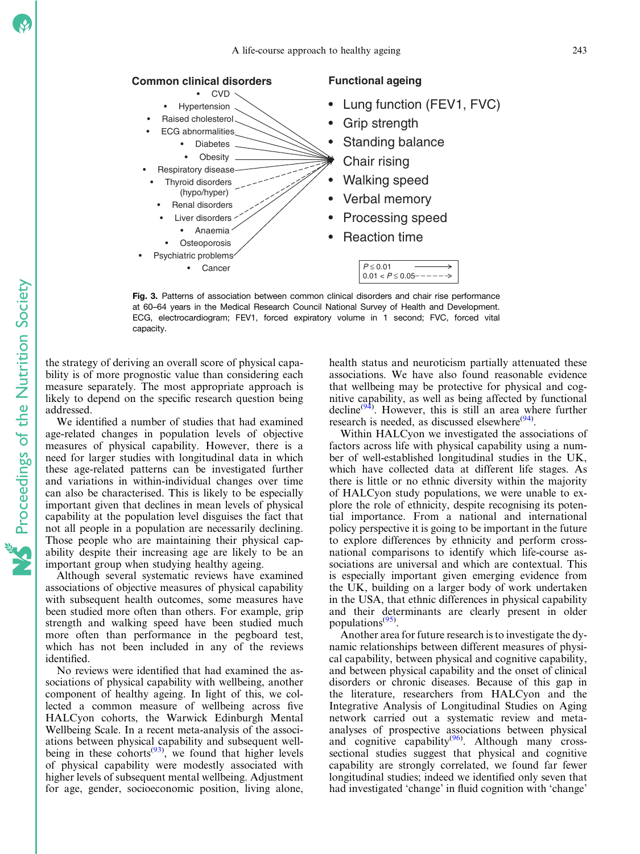<span id="page-6-0"></span>

Fig. 3. Patterns of association between common clinical disorders and chair rise performance at 60–64 years in the Medical Research Council National Survey of Health and Development. ECG, electrocardiogram; FEV1, forced expiratory volume in 1 second; FVC, forced vital capacity.

the strategy of deriving an overall score of physical capability is of more prognostic value than considering each measure separately. The most appropriate approach is likely to depend on the specific research question being addressed.

We identified a number of studies that had examined age-related changes in population levels of objective measures of physical capability. However, there is a need for larger studies with longitudinal data in which these age-related patterns can be investigated further and variations in within-individual changes over time can also be characterised. This is likely to be especially important given that declines in mean levels of physical capability at the population level disguises the fact that not all people in a population are necessarily declining. Those people who are maintaining their physical capability despite their increasing age are likely to be an important group when studying healthy ageing.

Although several systematic reviews have examined associations of objective measures of physical capability with subsequent health outcomes, some measures have been studied more often than others. For example, grip strength and walking speed have been studied much more often than performance in the pegboard test, which has not been included in any of the reviews identified.

No reviews were identified that had examined the associations of physical capability with wellbeing, another component of healthy ageing. In light of this, we collected a common measure of wellbeing across five HALCyon cohorts, the Warwick Edinburgh Mental Wellbeing Scale. In a recent meta-analysis of the associations between physical capability and subsequent wellbeing in these cohorts<sup> $(93)$  $(93)$  $(93)$ </sup>, we found that higher levels of physical capability were modestly associated with higher levels of subsequent mental wellbeing. Adjustment for age, gender, socioeconomic position, living alone, health status and neuroticism partially attenuated these associations. We have also found reasonable evidence that wellbeing may be protective for physical and cognitive capability, as well as being affected by functional decline<sup>[\(94\)](#page-10-0)</sup>. However, this is still an area where further research is needed, as discussed elsewhere $^{(94)}$  $^{(94)}$  $^{(94)}$ .

Within HALCyon we investigated the associations of factors across life with physical capability using a number of well-established longitudinal studies in the UK, which have collected data at different life stages. As there is little or no ethnic diversity within the majority of HALCyon study populations, we were unable to explore the role of ethnicity, despite recognising its potential importance. From a national and international policy perspective it is going to be important in the future to explore differences by ethnicity and perform crossnational comparisons to identify which life-course associations are universal and which are contextual. This is especially important given emerging evidence from the UK, building on a larger body of work undertaken in the USA, that ethnic differences in physical capability and their determinants are clearly present in older populations<sup>([95](#page-10-0))</sup>.

Another area for future research is to investigate the dynamic relationships between different measures of physical capability, between physical and cognitive capability, and between physical capability and the onset of clinical disorders or chronic diseases. Because of this gap in the literature, researchers from HALCyon and the Integrative Analysis of Longitudinal Studies on Aging network carried out a systematic review and metaanalyses of prospective associations between physical and cognitive capability<sup>([96](#page-10-0))</sup>. Although many crosssectional studies suggest that physical and cognitive capability are strongly correlated, we found far fewer longitudinal studies; indeed we identified only seven that had investigated 'change' in fluid cognition with 'change'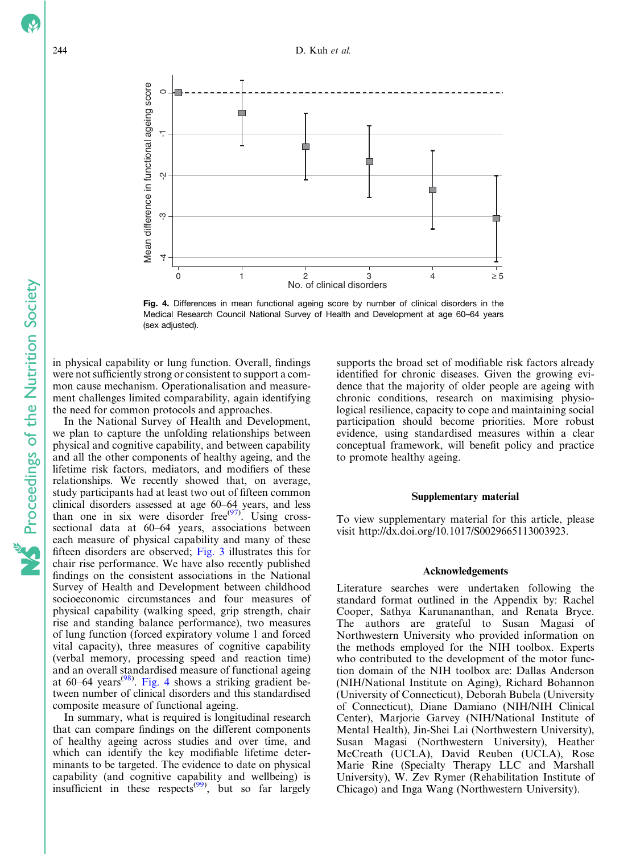

Fig. 4. Differences in mean functional ageing score by number of clinical disorders in the Medical Research Council National Survey of Health and Development at age 60–64 years (sex adjusted).

in physical capability or lung function. Overall, findings were not sufficiently strong or consistent to support a common cause mechanism. Operationalisation and measurement challenges limited comparability, again identifying the need for common protocols and approaches.

**Fig. 4.** Differences in mean functional age Medical Research Council National Survey (sex adjusted).<br>
In physical capability or lung function. Overall, findings were not sufficiently strong or consistent to support a com In the National Survey of Health and Development, we plan to capture the unfolding relationships between physical and cognitive capability, and between capability and all the other components of healthy ageing, and the lifetime risk factors, mediators, and modifiers of these relationships. We recently showed that, on average, study participants had at least two out of fifteen common clinical disorders assessed at age 60–64 years, and less than one in six were disorder free $(97)$ . Using crosssectional data at 60–64 years, associations between each measure of physical capability and many of these fifteen disorders are observed; [Fig. 3](#page-6-0) illustrates this for chair rise performance. We have also recently published findings on the consistent associations in the National Survey of Health and Development between childhood socioeconomic circumstances and four measures of physical capability (walking speed, grip strength, chair rise and standing balance performance), two measures of lung function (forced expiratory volume 1 and forced vital capacity), three measures of cognitive capability (verbal memory, processing speed and reaction time) and an overall standardised measure of functional ageing at  $60-64$  years<sup> $(98)$  $(98)$  $(98)$ </sup>. Fig. 4 shows a striking gradient between number of clinical disorders and this standardised composite measure of functional ageing.

In summary, what is required is longitudinal research that can compare findings on the different components of healthy ageing across studies and over time, and which can identify the key modifiable lifetime determinants to be targeted. The evidence to date on physical capability (and cognitive capability and wellbeing) is insufficient in these respects<sup>[\(99\)](#page-10-0)</sup>, but so far largely

supports the broad set of modifiable risk factors already identified for chronic diseases. Given the growing evidence that the majority of older people are ageing with chronic conditions, research on maximising physiological resilience, capacity to cope and maintaining social participation should become priorities. More robust evidence, using standardised measures within a clear conceptual framework, will benefit policy and practice to promote healthy ageing.

## Supplementary material

To view supplementary material for this article, please visit http://dx.doi.org/10.1017/S0029665113003923.

#### Acknowledgements

Literature searches were undertaken following the standard format outlined in the Appendix by: Rachel Cooper, Sathya Karunananthan, and Renata Bryce. The authors are grateful to Susan Magasi of Northwestern University who provided information on the methods employed for the NIH toolbox. Experts who contributed to the development of the motor function domain of the NIH toolbox are: Dallas Anderson (NIH/National Institute on Aging), Richard Bohannon (University of Connecticut), Deborah Bubela (University of Connecticut), Diane Damiano (NIH/NIH Clinical Center), Marjorie Garvey (NIH/National Institute of Mental Health), Jin-Shei Lai (Northwestern University), Susan Magasi (Northwestern University), Heather McCreath (UCLA), David Reuben (UCLA), Rose Marie Rine (Specialty Therapy LLC and Marshall University), W. Zev Rymer (Rehabilitation Institute of Chicago) and Inga Wang (Northwestern University).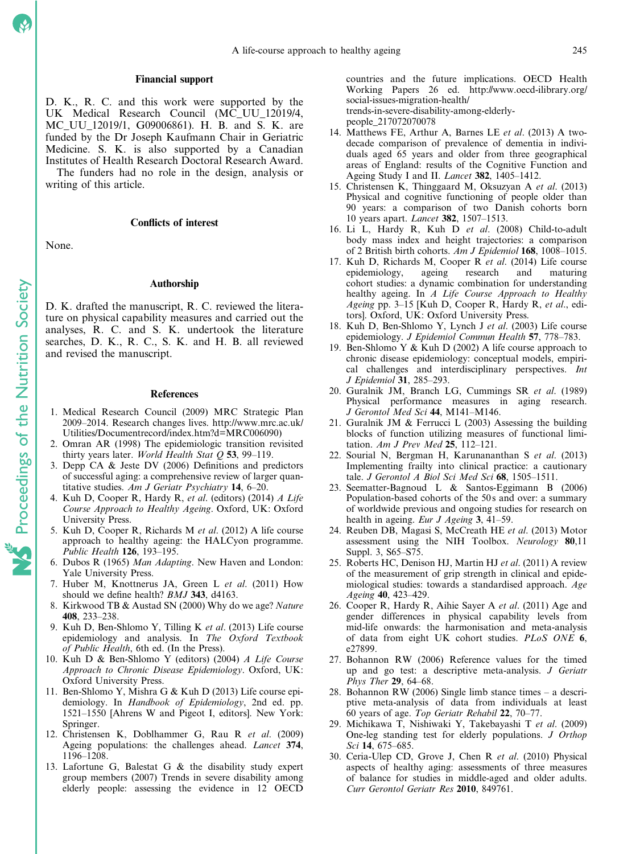## Financial support

<span id="page-8-0"></span>D. K., R. C. and this work were supported by the UK Medical Research Council (MC\_UU\_12019/4, MC\_UU\_12019/1, G09006861). H. B. and S. K. are funded by the Dr Joseph Kaufmann Chair in Geriatric Medicine. S. K. is also supported by a Canadian Institutes of Health Research Doctoral Research Award.

The funders had no role in the design, analysis or writing of this article.

## Conflicts of interest

None.

Proceedings of the Nutrition Society

**NS** Proceedings of the Nutrition Society

## Authorship

D. K. drafted the manuscript, R. C. reviewed the literature on physical capability measures and carried out the analyses, R. C. and S. K. undertook the literature searches, D. K., R. C., S. K. and H. B. all reviewed and revised the manuscript.

## References

- 1. Medical Research Council (2009) MRC Strategic Plan 2009–2014. Research changes lives. http://www.mrc.ac.uk/ Utilities/Documentrecord/index.htm?d=MRC006090)
- 2. Omran AR (1998) The epidemiologic transition revisited thirty years later. World Health Stat  $Q$  53, 99-119.
- 3. Depp CA & Jeste DV (2006) Definitions and predictors of successful aging: a comprehensive review of larger quantitative studies. Am J Geriatr Psychiatry 14, 6–20.
- 4. Kuh D, Cooper R, Hardy R, et al. (editors) (2014) A Life Course Approach to Healthy Ageing. Oxford, UK: Oxford University Press.
- 5. Kuh D, Cooper R, Richards M et al. (2012) A life course approach to healthy ageing: the HALCyon programme. Public Health 126, 193–195.
- 6. Dubos R (1965) Man Adapting. New Haven and London: Yale University Press.
- 7. Huber M, Knottnerus JA, Green L et al. (2011) How should we define health? *BMJ* 343, d4163.
- 8. Kirkwood TB & Austad SN (2000) Why do we age? Nature 408, 233–238.
- 9. Kuh D, Ben-Shlomo Y, Tilling K et al. (2013) Life course epidemiology and analysis. In The Oxford Textbook of Public Health, 6th ed. (In the Press).
- 10. Kuh D & Ben-Shlomo Y (editors) (2004) A Life Course Approach to Chronic Disease Epidemiology. Oxford, UK: Oxford University Press.
- 11. Ben-Shlomo Y, Mishra G & Kuh D (2013) Life course epidemiology. In Handbook of Epidemiology, 2nd ed. pp. 1521–1550 [Ahrens W and Pigeot I, editors]. New York: Springer.
- 12. Christensen K, Doblhammer G, Rau R et al. (2009) Ageing populations: the challenges ahead. Lancet 374, 1196–1208.
- 13. Lafortune G, Balestat G & the disability study expert group members (2007) Trends in severe disability among elderly people: assessing the evidence in 12 OECD

countries and the future implications. OECD Health Working Papers 26 ed. http://www.oecd-ilibrary.org/ social-issues-migration-health/ trends-in-severe-disability-among-elderlypeople\_217072070078

- 14. Matthews FE, Arthur A, Barnes LE et al. (2013) A twodecade comparison of prevalence of dementia in individuals aged 65 years and older from three geographical areas of England: results of the Cognitive Function and Ageing Study I and II. Lancet 382, 1405–1412.
- 15. Christensen K, Thinggaard M, Oksuzyan A et al. (2013) Physical and cognitive functioning of people older than 90 years: a comparison of two Danish cohorts born 10 years apart. Lancet 382, 1507–1513.
- 16. Li L, Hardy R, Kuh D et al. (2008) Child-to-adult body mass index and height trajectories: a comparison of 2 British birth cohorts. Am J Epidemiol 168, 1008-1015.
- 17. Kuh D, Richards M, Cooper R et al. (2014) Life course epidemiology, ageing research and maturing cohort studies: a dynamic combination for understanding healthy ageing. In A Life Course Approach to Healthy Ageing pp. 3–15 [Kuh D, Cooper R, Hardy R, et al., editors]. Oxford, UK: Oxford University Press.
- 18. Kuh D, Ben-Shlomo Y, Lynch J et al. (2003) Life course epidemiology. J Epidemiol Commun Health 57, 778–783.
- 19. Ben-Shlomo Y & Kuh D (2002) A life course approach to chronic disease epidemiology: conceptual models, empirical challenges and interdisciplinary perspectives. Int J Epidemiol 31, 285–293.
- 20. Guralnik JM, Branch LG, Cummings SR et al. (1989) Physical performance measures in aging research. J Gerontol Med Sci 44, M141–M146.
- 21. Guralnik JM & Ferrucci L (2003) Assessing the building blocks of function utilizing measures of functional limitation. Am J Prev Med 25, 112–121.
- 22. Sourial N, Bergman H, Karunananthan S et al. (2013) Implementing frailty into clinical practice: a cautionary tale. J Gerontol A Biol Sci Med Sci 68, 1505-1511.
- 23. Seematter-Bagnoud L & Santos-Eggimann B (2006) Population-based cohorts of the 50s and over: a summary of worldwide previous and ongoing studies for research on health in ageing. Eur J Ageing 3, 41–59.
- 24. Reuben DB, Magasi S, McCreath HE et al. (2013) Motor assessment using the NIH Toolbox. Neurology 80,11 Suppl. 3, S65–S75.
- 25. Roberts HC, Denison HJ, Martin HJ et al. (2011) A review of the measurement of grip strength in clinical and epidemiological studies: towards a standardised approach. Age Ageing 40, 423–429.
- 26. Cooper R, Hardy R, Aihie Sayer A et al. (2011) Age and gender differences in physical capability levels from mid-life onwards: the harmonisation and meta-analysis of data from eight UK cohort studies. PLoS ONE 6, e27899.
- 27. Bohannon RW (2006) Reference values for the timed up and go test: a descriptive meta-analysis. J Geriatr Phys Ther 29, 64–68.
- 28. Bohannon RW (2006) Single limb stance times a descriptive meta-analysis of data from individuals at least 60 years of age. Top Geriatr Rehabil 22, 70–77.
- 29. Michikawa T, Nishiwaki Y, Takebayashi T et al. (2009) One-leg standing test for elderly populations. J Orthop Sci 14, 675–685.
- 30. Ceria-Ulep CD, Grove J, Chen R et al. (2010) Physical aspects of healthy aging: assessments of three measures of balance for studies in middle-aged and older adults. Curr Gerontol Geriatr Res 2010, 849761.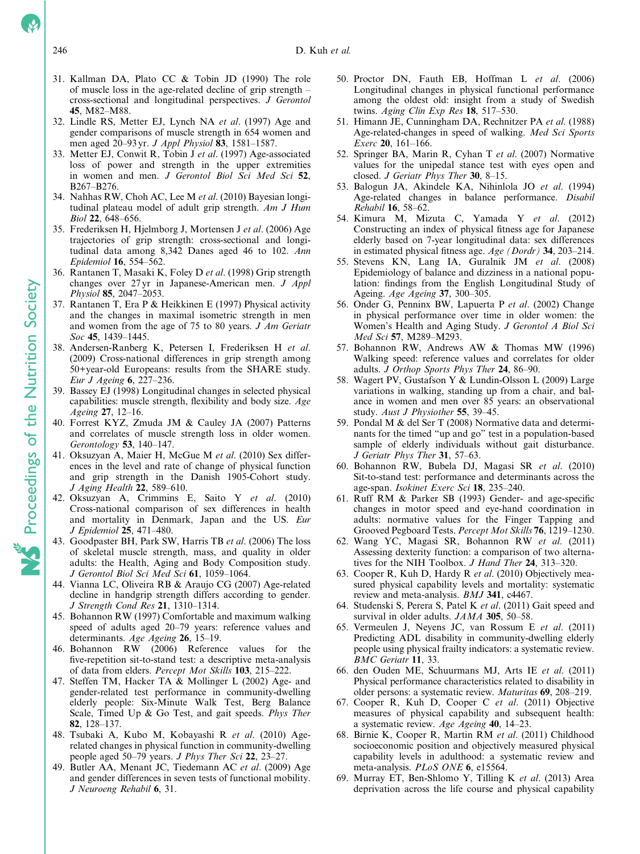- 31. Kallman DA, Plato CC & Tobin JD (1990) The role of muscle loss in the age-related decline of grip strength – cross-sectional and longitudinal perspectives. J Gerontol 45, M82–M88.
- 32. Lindle RS, Metter EJ, Lynch NA et al. (1997) Age and gender comparisons of muscle strength in 654 women and men aged 20–93 yr. *J Appl Physiol* 83, 1581–1587.
- 33. Metter EJ, Conwit R, Tobin J et al. (1997) Age-associated loss of power and strength in the upper extremities in women and men. J Gerontol Biol Sci Med Sci 52, B267–B276.
- 34. Nahhas RW, Choh AC, Lee M et al. (2010) Bayesian longitudinal plateau model of adult grip strength. Am J Hum Biol 22, 648–656.
- 35. Frederiksen H, Hjelmborg J, Mortensen J et al. (2006) Age trajectories of grip strength: cross-sectional and longitudinal data among 8,342 Danes aged 46 to 102. Ann Epidemiol 16, 554–562.
- 36. Rantanen T, Masaki K, Foley D et al. (1998) Grip strength changes over 27 yr in Japanese-American men. J Appl Physiol 85, 2047–2053.
- 37. Rantanen T, Era P & Heikkinen E (1997) Physical activity and the changes in maximal isometric strength in men and women from the age of 75 to 80 years. J Am Geriatr Soc 45, 1439-1445.
- 38. Andersen-Ranberg K, Petersen I, Frederiksen H et al. (2009) Cross-national differences in grip strength among 50+year-old Europeans: results from the SHARE study. Eur J Ageing 6, 227–236.
- 39. Bassey EJ (1998) Longitudinal changes in selected physical capabilities: muscle strength, flexibility and body size. Age Ageing 27, 12–16.
- 40. Forrest KYZ, Zmuda JM & Cauley JA (2007) Patterns and correlates of muscle strength loss in older women. Gerontology 53, 140–147.
- 41. Oksuzyan A, Maier H, McGue M et al. (2010) Sex differences in the level and rate of change of physical function and grip strength in the Danish 1905-Cohort study. J Aging Health 22, 589–610.
- 42. Oksuzyan A, Crimmins E, Saito Y et al. (2010) Cross-national comparison of sex differences in health and mortality in Denmark, Japan and the US. Eur J Epidemiol 25, 471–480.
- 43. Goodpaster BH, Park SW, Harris TB et al. (2006) The loss of skeletal muscle strength, mass, and quality in older adults: the Health, Aging and Body Composition study. J Gerontol Biol Sci Med Sci 61, 1059–1064.
- 44. Vianna LC, Oliveira RB & Araujo CG (2007) Age-related decline in handgrip strength differs according to gender. J Strength Cond Res 21, 1310–1314.
- 45. Bohannon RW (1997) Comfortable and maximum walking speed of adults aged 20–79 years: reference values and determinants. Age Ageing 26, 15-19.
- 46. Bohannon RW (2006) Reference values for the five-repetition sit-to-stand test: a descriptive meta-analysis of data from elders. Percept Mot Skills 103, 215–222.
- 47. Steffen TM, Hacker TA & Mollinger L (2002) Age- and gender-related test performance in community-dwelling elderly people: Six-Minute Walk Test, Berg Balance Scale, Timed Up & Go Test, and gait speeds. Phys Ther 82, 128–137.
- 48. Tsubaki A, Kubo M, Kobayashi R et al. (2010) Agerelated changes in physical function in community-dwelling people aged 50–79 years. *J Phys Ther Sci* 22, 23–27.
- 49. Butler AA, Menant JC, Tiedemann AC et al. (2009) Age and gender differences in seven tests of functional mobility. J Neuroeng Rehabil 6, 31.
- 50. Proctor DN, Fauth EB, Hoffman L et al. (2006) Longitudinal changes in physical functional performance among the oldest old: insight from a study of Swedish twins. Aging Clin Exp Res 18, 517–530.
- 51. Himann JE, Cunningham DA, Rechnitzer PA et al. (1988) Age-related-changes in speed of walking. Med Sci Sports Exerc 20, 161–166.
- 52. Springer BA, Marin R, Cyhan T et al. (2007) Normative values for the unipedal stance test with eyes open and closed. J Geriatr Phys Ther 30, 8-15.
- 53. Balogun JA, Akindele KA, Nihinlola JO et al. (1994) Age-related changes in balance performance. Disabil Rehabil 16, 58–62.
- 54. Kimura M, Mizuta C, Yamada Y et al. (2012) Constructing an index of physical fitness age for Japanese elderly based on 7-year longitudinal data: sex differences in estimated physical fitness age. Age (Dordr) 34, 203–214.
- 55. Stevens KN, Lang IA, Guralnik JM et al. (2008) Epidemiology of balance and dizziness in a national population: findings from the English Longitudinal Study of Ageing. Age Ageing 37, 300–305.
- 56. Onder G, Penninx BW, Lapuerta P et al. (2002) Change in physical performance over time in older women: the Women's Health and Aging Study. J Gerontol A Biol Sci Med Sci 57, M289–M293.
- 57. Bohannon RW, Andrews AW & Thomas MW (1996) Walking speed: reference values and correlates for older adults. J Orthop Sports Phys Ther 24, 86–90.
- 58. Wagert PV, Gustafson Y & Lundin-Olsson L (2009) Large variations in walking, standing up from a chair, and balance in women and men over 85 years: an observational study. Aust J Physiother 55, 39-45.
- 59. Pondal M & del Ser T (2008) Normative data and determinants for the timed "up and go" test in a population-based sample of elderly individuals without gait disturbance. J Geriatr Phys Ther 31, 57–63.
- 60. Bohannon RW, Bubela DJ, Magasi SR et al. (2010) Sit-to-stand test: performance and determinants across the age-span. Isokinet Exerc Sci 18, 235–240.
- 61. Ruff RM & Parker SB (1993) Gender- and age-specific changes in motor speed and eye-hand coordination in adults: normative values for the Finger Tapping and Grooved Pegboard Tests. Percept Mot Skills 76, 1219–1230.
- 62. Wang YC, Magasi SR, Bohannon RW et al. (2011) Assessing dexterity function: a comparison of two alternatives for the NIH Toolbox. J Hand Ther 24, 313-320.
- 63. Cooper R, Kuh D, Hardy R et al. (2010) Objectively measured physical capability levels and mortality: systematic review and meta-analysis. BMJ 341, c4467.
- 64. Studenski S, Perera S, Patel K et al. (2011) Gait speed and survival in older adults. *JAMA* 305, 50-58.
- 65. Vermeulen J, Neyens JC, van Rossum E et al. (2011) Predicting ADL disability in community-dwelling elderly people using physical frailty indicators: a systematic review. BMC Geriatr 11, 33.
- 66. den Ouden ME, Schuurmans MJ, Arts IE et al. (2011) Physical performance characteristics related to disability in older persons: a systematic review. Maturitas 69, 208–219.
- 67. Cooper R, Kuh D, Cooper C et al. (2011) Objective measures of physical capability and subsequent health: a systematic review. Age Ageing 40, 14–23.
- 68. Birnie K, Cooper R, Martin RM et al. (2011) Childhood socioeconomic position and objectively measured physical capability levels in adulthood: a systematic review and meta-analysis. PLoS ONE 6, e15564.
- 69. Murray ET, Ben-Shlomo Y, Tilling K et al. (2013) Area deprivation across the life course and physical capability

<span id="page-9-0"></span>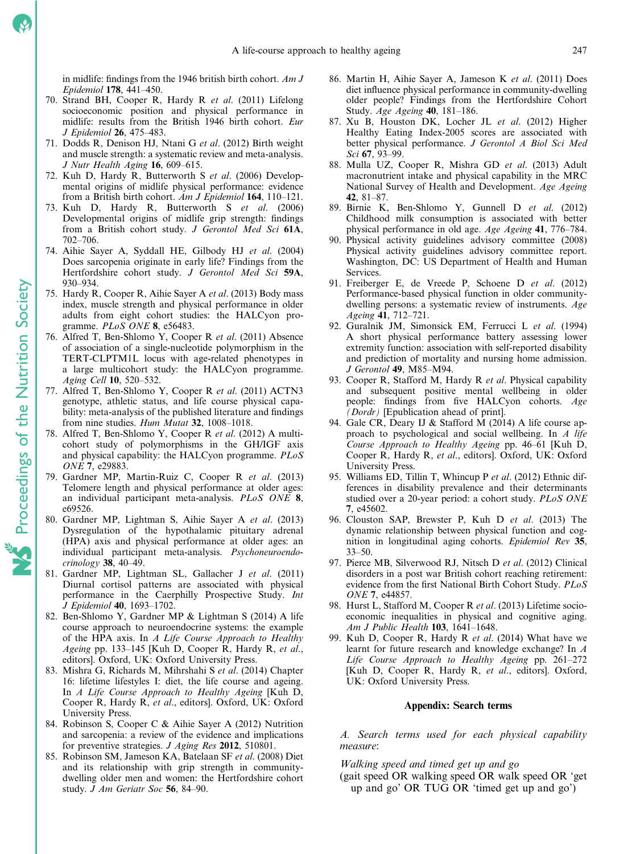<span id="page-10-0"></span>in midlife: findings from the 1946 british birth cohort. Am J Epidemiol 178, 441–450.

- 70. Strand BH, Cooper R, Hardy R et al. (2011) Lifelong socioeconomic position and physical performance in midlife: results from the British 1946 birth cohort. Eur J Epidemiol 26, 475–483.
- 71. Dodds R, Denison HJ, Ntani G et al. (2012) Birth weight and muscle strength: a systematic review and meta-analysis. J Nutr Health Aging 16, 609–615.
- 72. Kuh D, Hardy R, Butterworth S et al. (2006) Developmental origins of midlife physical performance: evidence from a British birth cohort. Am J Epidemiol 164, 110–121.
- 73. Kuh D, Hardy R, Butterworth S et al. (2006) Developmental origins of midlife grip strength: findings from a British cohort study. J Gerontol Med Sci 61A, 702–706.
- 74. Aihie Sayer A, Syddall HE, Gilbody HJ et al. (2004) Does sarcopenia originate in early life? Findings from the Hertfordshire cohort study. J Gerontol Med Sci 59A, 930–934.
- 75. Hardy R, Cooper R, Aihie Sayer A et al. (2013) Body mass index, muscle strength and physical performance in older adults from eight cohort studies: the HALCyon programme. PLoS ONE 8, e56483.
- 76. Alfred T, Ben-Shlomo Y, Cooper R et al. (2011) Absence of association of a single-nucleotide polymorphism in the TERT-CLPTM1L locus with age-related phenotypes in a large multicohort study: the HALCyon programme. Aging Cell 10, 520–532.
- 77. Alfred T, Ben-Shlomo Y, Cooper R et al. (2011) ACTN3 genotype, athletic status, and life course physical capability: meta-analysis of the published literature and findings from nine studies. Hum Mutat 32, 1008-1018.
- 78. Alfred T, Ben-Shlomo Y, Cooper R et al. (2012) A multicohort study of polymorphisms in the GH/IGF axis and physical capability: the HALCyon programme. PLoS ONE 7, e29883.
- 79. Gardner MP, Martin-Ruiz C, Cooper R et al. (2013) Telomere length and physical performance at older ages: an individual participant meta-analysis. PLoS ONE 8, e69526.
- 80. Gardner MP, Lightman S, Aihie Sayer A et al. (2013) Dysregulation of the hypothalamic pituitary adrenal (HPA) axis and physical performance at older ages: an individual participant meta-analysis. Psychoneuroendocrinology 38, 40–49.
- 81. Gardner MP, Lightman SL, Gallacher J et al. (2011) Diurnal cortisol patterns are associated with physical performance in the Caerphilly Prospective Study. Int J Epidemiol 40, 1693–1702.
- 82. Ben-Shlomo Y, Gardner MP & Lightman S (2014) A life course approach to neuroendocrine systems: the example of the HPA axis. In A Life Course Approach to Healthy Ageing pp. 133–145 [Kuh D, Cooper R, Hardy R, et al., editors]. Oxford, UK: Oxford University Press.
- 83. Mishra G, Richards M, Mihrshahi S et al. (2014) Chapter 16: lifetime lifestyles I: diet, the life course and ageing. In A Life Course Approach to Healthy Ageing [Kuh D, Cooper R, Hardy R, et al., editors]. Oxford, UK: Oxford University Press.
- 84. Robinson S, Cooper C & Aihie Sayer A (2012) Nutrition and sarcopenia: a review of the evidence and implications for preventive strategies. J Aging Res 2012, 510801.
- 85. Robinson SM, Jameson KA, Batelaan SF et al. (2008) Diet and its relationship with grip strength in communitydwelling older men and women: the Hertfordshire cohort study. J Am Geriatr Soc 56, 84–90.
- 86. Martin H, Aihie Sayer A, Jameson K et al. (2011) Does diet influence physical performance in community-dwelling older people? Findings from the Hertfordshire Cohort Study. Age Ageing 40, 181–186.
- 87. Xu B, Houston DK, Locher JL et al. (2012) Higher Healthy Eating Index-2005 scores are associated with better physical performance. J Gerontol A Biol Sci Med Sci 67, 93–99.
- 88. Mulla UZ, Cooper R, Mishra GD et al. (2013) Adult macronutrient intake and physical capability in the MRC National Survey of Health and Development. Age Ageing 42, 81–87.
- 89. Birnie K, Ben-Shlomo Y, Gunnell D et al. (2012) Childhood milk consumption is associated with better physical performance in old age. Age Ageing 41, 776–784.
- 90. Physical activity guidelines advisory committee (2008) Physical activity guidelines advisory committee report. Washington, DC: US Department of Health and Human Services.
- 91. Freiberger E, de Vreede P, Schoene D et al. (2012) Performance-based physical function in older communitydwelling persons: a systematic review of instruments. Age Ageing 41, 712–721.
- 92. Guralnik JM, Simonsick EM, Ferrucci L et al. (1994) A short physical performance battery assessing lower extremity function: association with self-reported disability and prediction of mortality and nursing home admission. J Gerontol 49, M85–M94.
- 93. Cooper R, Stafford M, Hardy R et al. Physical capability and subsequent positive mental wellbeing in older people: findings from five HALCyon cohorts. Age (Dordr) [Epublication ahead of print].
- 94. Gale CR, Deary IJ & Stafford M (2014) A life course approach to psychological and social wellbeing. In A life Course Approach to Healthy Ageing pp. 46-61 [Kuh D, Cooper R, Hardy R, et al., editors]. Oxford, UK: Oxford University Press.
- 95. Williams ED, Tillin T, Whincup P et al. (2012) Ethnic differences in disability prevalence and their determinants studied over a 20-year period: a cohort study. PLoS ONE 7, e45602.
- 96. Clouston SAP, Brewster P, Kuh D et al. (2013) The dynamic relationship between physical function and cognition in longitudinal aging cohorts. Epidemiol Rev 35, 33–50.
- 97. Pierce MB, Silverwood RJ, Nitsch D et al. (2012) Clinical disorders in a post war British cohort reaching retirement: evidence from the first National Birth Cohort Study. PLoS ONE 7, e44857.
- 98. Hurst L, Stafford M, Cooper R et al. (2013) Lifetime socioeconomic inequalities in physical and cognitive aging. Am J Public Health 103, 1641–1648.
- 99. Kuh D, Cooper R, Hardy R et al. (2014) What have we learnt for future research and knowledge exchange? In A Life Course Approach to Healthy Ageing pp. 261–272 [Kuh D, Cooper R, Hardy R, et al., editors]. Oxford, UK: Oxford University Press.

## Appendix: Search terms

A. Search terms used for each physical capability measure:

Walking speed and timed get up and go

(gait speed OR walking speed OR walk speed OR 'get up and go' OR TUG OR 'timed get up and go')